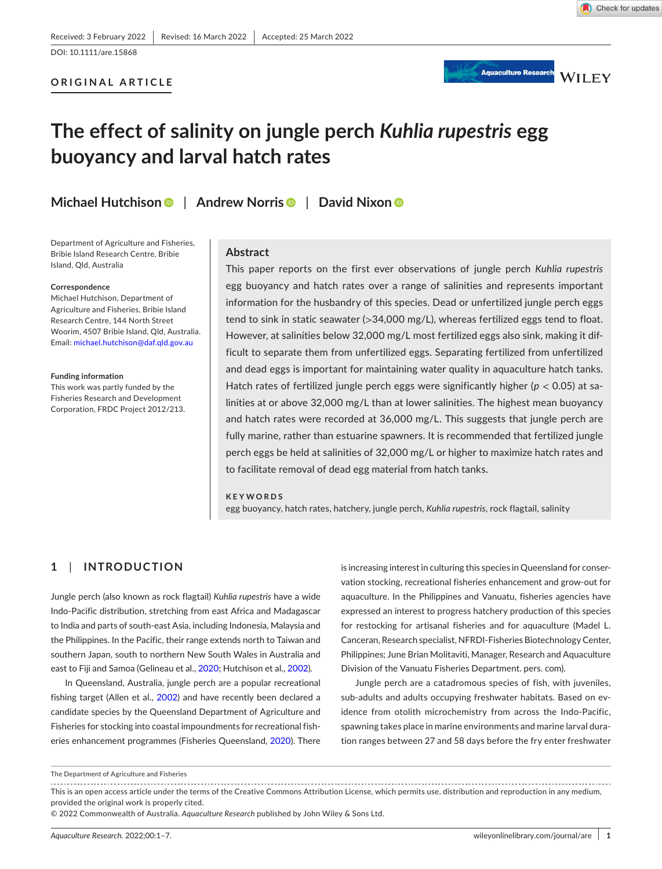**ORIGINAL ARTICLE**

Check for updates



# **The effect of salinity on jungle perch** *Kuhlia rupestris* **egg buoyancy and larval hatch rates**

**Michael Hutchison** | **Andrew Norri[s](https://orcid.org/0000-0003-4432-0287)** | **David Nixon**

Department of Agriculture and Fisheries, Bribie Island Research Centre, Bribie Island, Qld, Australia

#### **Correspondence**

Michael Hutchison, Department of Agriculture and Fisheries, Bribie Island Research Centre, 144 North Street Woorim, 4507 Bribie Island, Qld, Australia. Email: [michael.hutchison@daf.qld.gov.au](mailto:michael.hutchison@daf.qld.gov.au)

#### **Funding information**

This work was partly funded by the Fisheries Research and Development Corporation, FRDC Project 2012/213.

## **Abstract**

This paper reports on the first ever observations of jungle perch *Kuhlia rupestris* egg buoyancy and hatch rates over a range of salinities and represents important information for the husbandry of this species. Dead or unfertilized jungle perch eggs tend to sink in static seawater (>34,000 mg/L), whereas fertilized eggs tend to float. However, at salinities below 32,000 mg/L most fertilized eggs also sink, making it difficult to separate them from unfertilized eggs. Separating fertilized from unfertilized and dead eggs is important for maintaining water quality in aquaculture hatch tanks. Hatch rates of fertilized jungle perch eggs were significantly higher (*p* < 0.05) at salinities at or above 32,000 mg/L than at lower salinities. The highest mean buoyancy and hatch rates were recorded at 36,000 mg/L. This suggests that jungle perch are fully marine, rather than estuarine spawners. It is recommended that fertilized jungle perch eggs be held at salinities of 32,000 mg/L or higher to maximize hatch rates and to facilitate removal of dead egg material from hatch tanks.

### **KEYWORDS**

egg buoyancy, hatch rates, hatchery, jungle perch, *Kuhlia rupestris*, rock flagtail, salinity

## **1**  | **INTRODUCTION**

Jungle perch (also known as rock flagtail) *Kuhlia rupestris* have a wide Indo-Pacific distribution, stretching from east Africa and Madagascar to India and parts of south-east Asia, including Indonesia, Malaysia and the Philippines. In the Pacific, their range extends north to Taiwan and southern Japan, south to northern New South Wales in Australia and east to Fiji and Samoa (Gelineau et al., [2020;](#page-6-0) Hutchison et al., [2002](#page-6-1)).

In Queensland, Australia, jungle perch are a popular recreational fishing target (Allen et al., [2002\)](#page-5-0) and have recently been declared a candidate species by the Queensland Department of Agriculture and Fisheries for stocking into coastal impoundments for recreational fisheries enhancement programmes (Fisheries Queensland, [2020\)](#page-6-2). There

is increasing interest in culturing this species in Queensland for conservation stocking, recreational fisheries enhancement and grow-out for aquaculture. In the Philippines and Vanuatu, fisheries agencies have expressed an interest to progress hatchery production of this species for restocking for artisanal fisheries and for aquaculture (Madel L. Canceran, Research specialist, NFRDI-Fisheries Biotechnology Center, Philippines; June Brian Molitaviti, Manager, Research and Aquaculture Division of the Vanuatu Fisheries Department. pers. com).

Jungle perch are a catadromous species of fish, with juveniles, sub-adults and adults occupying freshwater habitats. Based on evidence from otolith microchemistry from across the Indo-Pacific, spawning takes place in marine environments and marine larval duration ranges between 27 and 58 days before the fry enter freshwater

This is an open access article under the terms of the Creative Commons Attribution License, which permits use, distribution and reproduction in any medium, provided the original work is properly cited.

The Department of Agriculture and Fisheries

<sup>© 2022</sup> Commonwealth of Australia. *Aquaculture Research* published by John Wiley & Sons Ltd.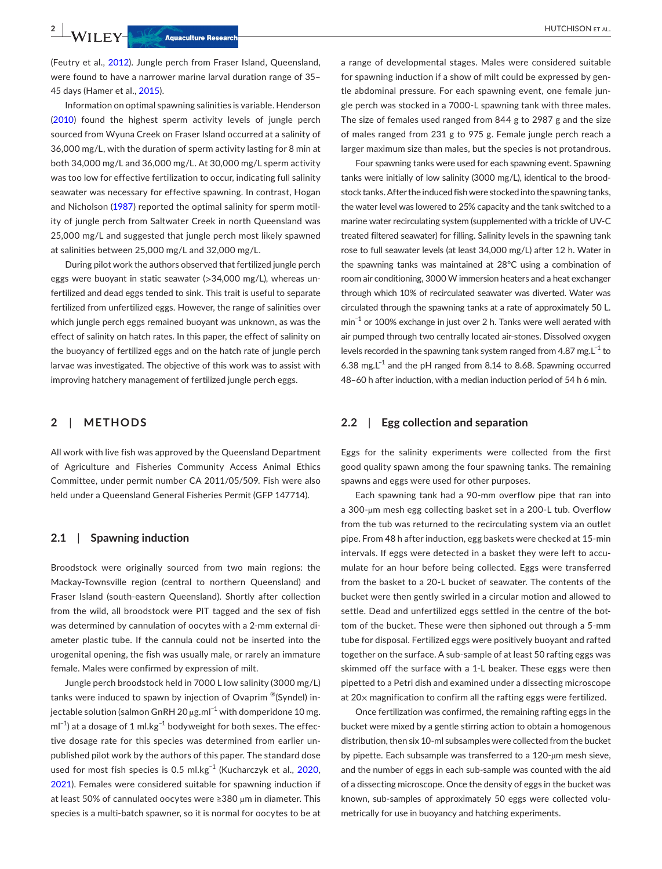(Feutry et al., [2012](#page-6-3)). Jungle perch from Fraser Island, Queensland, were found to have a narrower marine larval duration range of 35– 45 days (Hamer et al., [2015\)](#page-6-4).

Information on optimal spawning salinities is variable. Henderson ([2010](#page-6-5)) found the highest sperm activity levels of jungle perch sourced from Wyuna Creek on Fraser Island occurred at a salinity of 36,000 mg/L, with the duration of sperm activity lasting for 8 min at both 34,000 mg/L and 36,000 mg/L. At 30,000 mg/L sperm activity was too low for effective fertilization to occur, indicating full salinity seawater was necessary for effective spawning. In contrast, Hogan and Nicholson ([1987\)](#page-6-6) reported the optimal salinity for sperm motility of jungle perch from Saltwater Creek in north Queensland was 25,000 mg/L and suggested that jungle perch most likely spawned at salinities between 25,000 mg/L and 32,000 mg/L.

During pilot work the authors observed that fertilized jungle perch eggs were buoyant in static seawater (>34,000 mg/L), whereas unfertilized and dead eggs tended to sink. This trait is useful to separate fertilized from unfertilized eggs. However, the range of salinities over which jungle perch eggs remained buoyant was unknown, as was the effect of salinity on hatch rates. In this paper, the effect of salinity on the buoyancy of fertilized eggs and on the hatch rate of jungle perch larvae was investigated. The objective of this work was to assist with improving hatchery management of fertilized jungle perch eggs.

## **2**  | **METHODS**

All work with live fish was approved by the Queensland Department of Agriculture and Fisheries Community Access Animal Ethics Committee, under permit number CA 2011/05/509. Fish were also held under a Queensland General Fisheries Permit (GFP 147714).

### **2.1**  | **Spawning induction**

Broodstock were originally sourced from two main regions: the Mackay-Townsville region (central to northern Queensland) and Fraser Island (south-eastern Queensland). Shortly after collection from the wild, all broodstock were PIT tagged and the sex of fish was determined by cannulation of oocytes with a 2-mm external diameter plastic tube. If the cannula could not be inserted into the urogenital opening, the fish was usually male, or rarely an immature female. Males were confirmed by expression of milt.

Jungle perch broodstock held in 7000 L low salinity (3000 mg/L) tanks were induced to spawn by injection of Ovaprim ®(Syndel) injectable solution (salmon GnRH 20 µg.ml<sup>-1</sup> with domperidone 10 mg.  $ml^{-1}$ ) at a dosage of 1 ml.kg<sup>-1</sup> bodyweight for both sexes. The effective dosage rate for this species was determined from earlier unpublished pilot work by the authors of this paper. The standard dose used for most fish species is 0.5 ml.kg−1 (Kucharczyk et al., [2020,](#page-6-7) [2021](#page-6-8)). Females were considered suitable for spawning induction if at least 50% of cannulated oocytes were ≥380 µm in diameter. This species is a multi-batch spawner, so it is normal for oocytes to be at

a range of developmental stages. Males were considered suitable for spawning induction if a show of milt could be expressed by gentle abdominal pressure. For each spawning event, one female jungle perch was stocked in a 7000-L spawning tank with three males. The size of females used ranged from 844 g to 2987 g and the size of males ranged from 231 g to 975 g. Female jungle perch reach a larger maximum size than males, but the species is not protandrous.

Four spawning tanks were used for each spawning event. Spawning tanks were initially of low salinity (3000 mg/L), identical to the broodstock tanks. After the induced fish were stocked into the spawning tanks, the water level was lowered to 25% capacity and the tank switched to a marine water recirculating system (supplemented with a trickle of UV-C treated filtered seawater) for filling. Salinity levels in the spawning tank rose to full seawater levels (at least 34,000 mg/L) after 12 h. Water in the spawning tanks was maintained at 28°C using a combination of room air conditioning, 3000 W immersion heaters and a heat exchanger through which 10% of recirculated seawater was diverted. Water was circulated through the spawning tanks at a rate of approximately 50 L. min−1 or 100% exchange in just over 2 h. Tanks were well aerated with air pumped through two centrally located air-stones. Dissolved oxygen levels recorded in the spawning tank system ranged from 4.87 mg.L−1 to 6.38 mg.L<sup>-1</sup> and the pH ranged from 8.14 to 8.68. Spawning occurred 48–60 h after induction, with a median induction period of 54 h 6 min.

## **2.2**  | **Egg collection and separation**

Eggs for the salinity experiments were collected from the first good quality spawn among the four spawning tanks. The remaining spawns and eggs were used for other purposes.

Each spawning tank had a 90-mm overflow pipe that ran into a 300-µm mesh egg collecting basket set in a 200-L tub. Overflow from the tub was returned to the recirculating system via an outlet pipe. From 48 h after induction, egg baskets were checked at 15-min intervals. If eggs were detected in a basket they were left to accumulate for an hour before being collected. Eggs were transferred from the basket to a 20-L bucket of seawater. The contents of the bucket were then gently swirled in a circular motion and allowed to settle. Dead and unfertilized eggs settled in the centre of the bottom of the bucket. These were then siphoned out through a 5-mm tube for disposal. Fertilized eggs were positively buoyant and rafted together on the surface. A sub-sample of at least 50 rafting eggs was skimmed off the surface with a 1-L beaker. These eggs were then pipetted to a Petri dish and examined under a dissecting microscope at 20× magnification to confirm all the rafting eggs were fertilized.

Once fertilization was confirmed, the remaining rafting eggs in the bucket were mixed by a gentle stirring action to obtain a homogenous distribution, then six 10-ml subsamples were collected from the bucket by pipette. Each subsample was transferred to a 120-µm mesh sieve, and the number of eggs in each sub-sample was counted with the aid of a dissecting microscope. Once the density of eggs in the bucket was known, sub-samples of approximately 50 eggs were collected volumetrically for use in buoyancy and hatching experiments.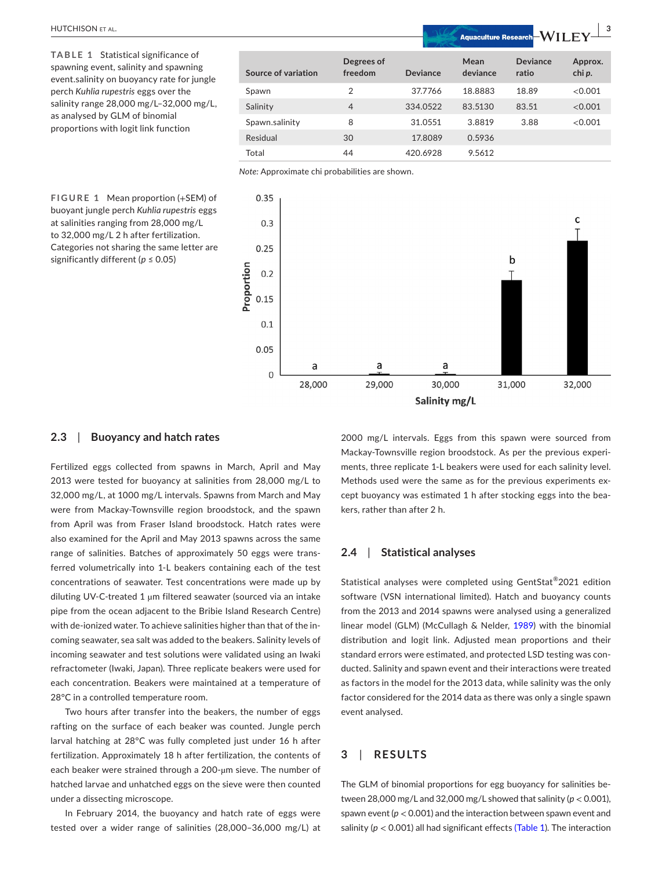# HUTCHISON et al. **<sup>|</sup> 3**

<span id="page-2-0"></span>**TABLE 1** Statistical significance of spawning event, salinity and spawning event.salinity on buoyancy rate for jungle perch *Kuhlia rupestris* eggs over the salinity range 28,000 mg/L–32,000 mg/L, as analysed by GLM of binomial proportions with logit link function

|                     |                       | <u>The material of the country of the state of the state of the state of the state of the state of the state of the state of the state of the state of the state of the state of the state of the state of the state of the stat</u><br>, , , , , , , |                  |                          |                   |
|---------------------|-----------------------|-------------------------------------------------------------------------------------------------------------------------------------------------------------------------------------------------------------------------------------------------------|------------------|--------------------------|-------------------|
| Source of variation | Degrees of<br>freedom | <b>Deviance</b>                                                                                                                                                                                                                                       | Mean<br>deviance | <b>Deviance</b><br>ratio | Approx.<br>chi p. |
| Spawn               | $\overline{2}$        | 37.7766                                                                                                                                                                                                                                               | 18.8883          | 18.89                    | < 0.001           |
| Salinity            | $\overline{4}$        | 334.0522                                                                                                                                                                                                                                              | 83.5130          | 83.51                    | < 0.001           |
| Spawn.salinity      | 8                     | 31.0551                                                                                                                                                                                                                                               | 3.8819           | 3.88                     | < 0.001           |
| Residual            | 30                    | 17,8089                                                                                                                                                                                                                                               | 0.5936           |                          |                   |
| Total               | 44                    | 420.6928                                                                                                                                                                                                                                              | 9.5612           |                          |                   |

<span id="page-2-1"></span>*Note:* Approximate chi probabilities are shown.



## **FIGURE 1** Mean proportion (+SEM) of buoyant jungle perch *Kuhlia rupestris* eggs at salinities ranging from 28,000 mg/L to 32,000 mg/L 2 h after fertilization. Categories not sharing the same letter are significantly different (*p* ≤ 0.05)

## **2.3**  | **Buoyancy and hatch rates**

Fertilized eggs collected from spawns in March, April and May 2013 were tested for buoyancy at salinities from 28,000 mg/L to 32,000 mg/L, at 1000 mg/L intervals. Spawns from March and May were from Mackay-Townsville region broodstock, and the spawn from April was from Fraser Island broodstock. Hatch rates were also examined for the April and May 2013 spawns across the same range of salinities. Batches of approximately 50 eggs were transferred volumetrically into 1-L beakers containing each of the test concentrations of seawater. Test concentrations were made up by diluting UV-C-treated 1 µm filtered seawater (sourced via an intake pipe from the ocean adjacent to the Bribie Island Research Centre) with de-ionized water. To achieve salinities higher than that of the incoming seawater, sea salt was added to the beakers. Salinity levels of incoming seawater and test solutions were validated using an Iwaki refractometer (Iwaki, Japan). Three replicate beakers were used for each concentration. Beakers were maintained at a temperature of 28°C in a controlled temperature room.

Two hours after transfer into the beakers, the number of eggs rafting on the surface of each beaker was counted. Jungle perch larval hatching at 28°C was fully completed just under 16 h after fertilization. Approximately 18 h after fertilization, the contents of each beaker were strained through a 200-µm sieve. The number of hatched larvae and unhatched eggs on the sieve were then counted under a dissecting microscope.

In February 2014, the buoyancy and hatch rate of eggs were tested over a wider range of salinities (28,000–36,000 mg/L) at

2000 mg/L intervals. Eggs from this spawn were sourced from Mackay-Townsville region broodstock. As per the previous experiments, three replicate 1-L beakers were used for each salinity level. Methods used were the same as for the previous experiments except buoyancy was estimated 1 h after stocking eggs into the beakers, rather than after 2 h.

#### **2.4**  | **Statistical analyses**

Statistical analyses were completed using GentStat®2021 edition software (VSN international limited). Hatch and buoyancy counts from the 2013 and 2014 spawns were analysed using a generalized linear model (GLM) (McCullagh & Nelder, [1989\)](#page-6-9) with the binomial distribution and logit link. Adjusted mean proportions and their standard errors were estimated, and protected LSD testing was conducted. Salinity and spawn event and their interactions were treated as factors in the model for the 2013 data, while salinity was the only factor considered for the 2014 data as there was only a single spawn event analysed.

## **3**  | **RESULTS**

The GLM of binomial proportions for egg buoyancy for salinities between 28,000 mg/L and 32,000 mg/L showed that salinity (*p* < 0.001), spawn event (*p* < 0.001) and the interaction between spawn event and salinity ( $p < 0.001$  $p < 0.001$ ) all had significant effects (Table 1). The interaction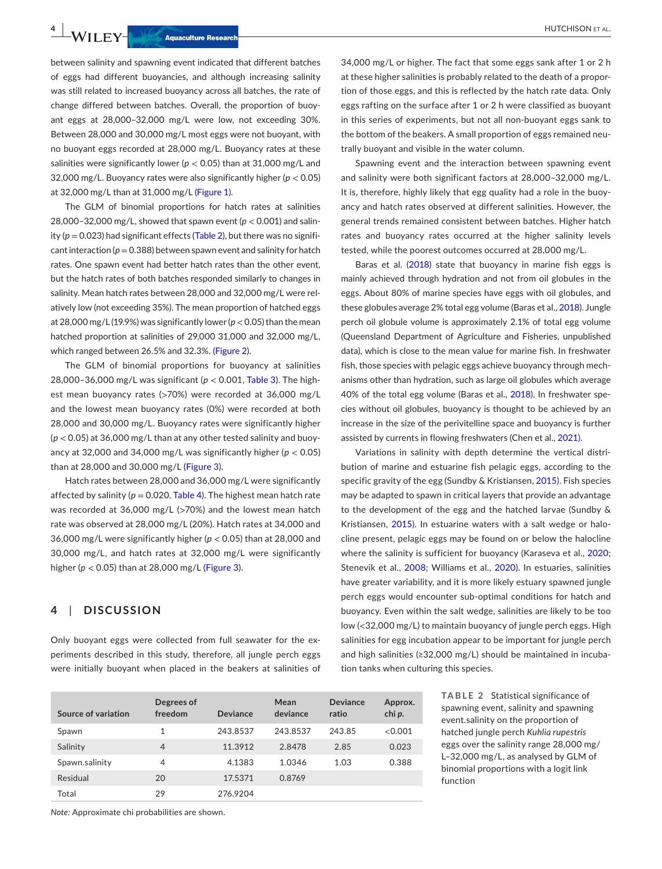**4 LEY-CONSON ET AL.**<br> **Aquaculture Research** 

between salinity and spawning event indicated that different batches of eggs had different buoyancies, and although increasing salinity was still related to increased buoyancy across all batches, the rate of change differed between batches. Overall, the proportion of buoyant eggs at 28,000–32,000 mg/L were low, not exceeding 30%. Between 28,000 and 30,000 mg/L most eggs were not buoyant, with no buoyant eggs recorded at 28,000 mg/L. Buoyancy rates at these salinities were significantly lower ( $p < 0.05$ ) than at 31,000 mg/L and 32,000 mg/L. Buoyancy rates were also significantly higher (*p* < 0.05) at 32,000 mg/L than at 31,000 mg/L (Figure [1\)](#page-2-1).

The GLM of binomial proportions for hatch rates at salinities 28,000–32,000 mg/L, showed that spawn event (*p* < 0.001) and salinity ( $p = 0.023$  $p = 0.023$  $p = 0.023$ ) had significant effects (Table 2), but there was no significant interaction ( $p=0.388$ ) between spawn event and salinity for hatch rates. One spawn event had better hatch rates than the other event, but the hatch rates of both batches responded similarly to changes in salinity. Mean hatch rates between 28,000 and 32,000 mg/L were relatively low (not exceeding 35%). The mean proportion of hatched eggs at 28,000 mg/L (19.9%) was significantly lower ( $p < 0.05$ ) than the mean hatched proportion at salinities of 29,000 31,000 and 32,000 mg/L, which ranged between 26.5% and 32.3%. (Figure [2](#page-4-0)).

The GLM of binomial proportions for buoyancy at salinities 28,000–36,000 mg/L was significant (*p* < 0.001, Table [3](#page-4-1)). The highest mean buoyancy rates (>70%) were recorded at 36,000 mg/L and the lowest mean buoyancy rates (0%) were recorded at both 28,000 and 30,000 mg/L. Buoyancy rates were significantly higher (*p* < 0.05) at 36,000 mg/L than at any other tested salinity and buoyancy at 32,000 and 34,000 mg/L was significantly higher ( $p < 0.05$ ) than at 28,000 and 30,000 mg/L (Figure [3\)](#page-4-2).

Hatch rates between 28,000 and 36,000 mg/L were significantly affected by salinity ( $p = 0.020$ , Table [4\)](#page-4-3). The highest mean hatch rate was recorded at 36,000 mg/L (>70%) and the lowest mean hatch rate was observed at 28,000 mg/L (20%). Hatch rates at 34,000 and 36,000 mg/L were significantly higher (*p* < 0.05) than at 28,000 and 30,000 mg/L, and hatch rates at 32,000 mg/L were significantly higher (*p* < 0.05) than at 28,000 mg/L (Figure [3\)](#page-4-2).

## **4**  | **DISCUSSION**

Only buoyant eggs were collected from full seawater for the experiments described in this study, therefore, all jungle perch eggs were initially buoyant when placed in the beakers at salinities of

| Source of variation | Degrees of<br>freedom | Deviance | Mean<br>deviance | Deviance<br>ratio | Approx.<br>chi p. |
|---------------------|-----------------------|----------|------------------|-------------------|-------------------|
| Spawn               | 1                     | 243.8537 | 243.8537         | 243.85            | < 0.001           |
| Salinity            | $\overline{4}$        | 11.3912  | 2.8478           | 2.85              | 0.023             |
| Spawn.salinity      | 4                     | 4.1383   | 1.0346           | 1.03              | 0.388             |
| Residual            | 20                    | 17.5371  | 0.8769           |                   |                   |
| Total               | 29                    | 276.9204 |                  |                   |                   |

*Note:* Approximate chi probabilities are shown.

34,000 mg/L or higher. The fact that some eggs sank after 1 or 2 h at these higher salinities is probably related to the death of a proportion of those eggs, and this is reflected by the hatch rate data. Only eggs rafting on the surface after 1 or 2 h were classified as buoyant in this series of experiments, but not all non-buoyant eggs sank to the bottom of the beakers. A small proportion of eggs remained neutrally buoyant and visible in the water column.

Spawning event and the interaction between spawning event and salinity were both significant factors at 28,000–32,000 mg/L. It is, therefore, highly likely that egg quality had a role in the buoyancy and hatch rates observed at different salinities. However, the general trends remained consistent between batches. Higher hatch rates and buoyancy rates occurred at the higher salinity levels tested, while the poorest outcomes occurred at 28,000 mg/L.

Baras et al. ([2018](#page-5-1)) state that buoyancy in marine fish eggs is mainly achieved through hydration and not from oil globules in the eggs. About 80% of marine species have eggs with oil globules, and these globules average 2% total egg volume (Baras et al., [2018](#page-5-1)). Jungle perch oil globule volume is approximately 2.1% of total egg volume (Queensland Department of Agriculture and Fisheries, unpublished data), which is close to the mean value for marine fish. In freshwater fish, those species with pelagic eggs achieve buoyancy through mechanisms other than hydration, such as large oil globules which average 40% of the total egg volume (Baras et al., [2018](#page-5-1)). In freshwater species without oil globules, buoyancy is thought to be achieved by an increase in the size of the perivitelline space and buoyancy is further assisted by currents in flowing freshwaters (Chen et al., [2021](#page-6-10)).

Variations in salinity with depth determine the vertical distribution of marine and estuarine fish pelagic eggs, according to the specific gravity of the egg (Sundby & Kristiansen, [2015](#page-6-11)). Fish species may be adapted to spawn in critical layers that provide an advantage to the development of the egg and the hatched larvae (Sundby & Kristiansen, [2015\)](#page-6-11). In estuarine waters with a salt wedge or halocline present, pelagic eggs may be found on or below the halocline where the salinity is sufficient for buoyancy (Karaseva et al., [2020;](#page-6-12) Stenevik et al., [2008](#page-6-13); Williams et al., [2020\)](#page-6-14). In estuaries, salinities have greater variability, and it is more likely estuary spawned jungle perch eggs would encounter sub-optimal conditions for hatch and buoyancy. Even within the salt wedge, salinities are likely to be too low (<32,000 mg/L) to maintain buoyancy of jungle perch eggs. High salinities for egg incubation appear to be important for jungle perch and high salinities (≥32,000 mg/L) should be maintained in incubation tanks when culturing this species.

> <span id="page-3-0"></span>**TABLE 2** Statistical significance of spawning event, salinity and spawning event.salinity on the proportion of hatched jungle perch *Kuhlia rupestris* eggs over the salinity range 28,000 mg/ L–32,000 mg/L, as analysed by GLM of binomial proportions with a logit link function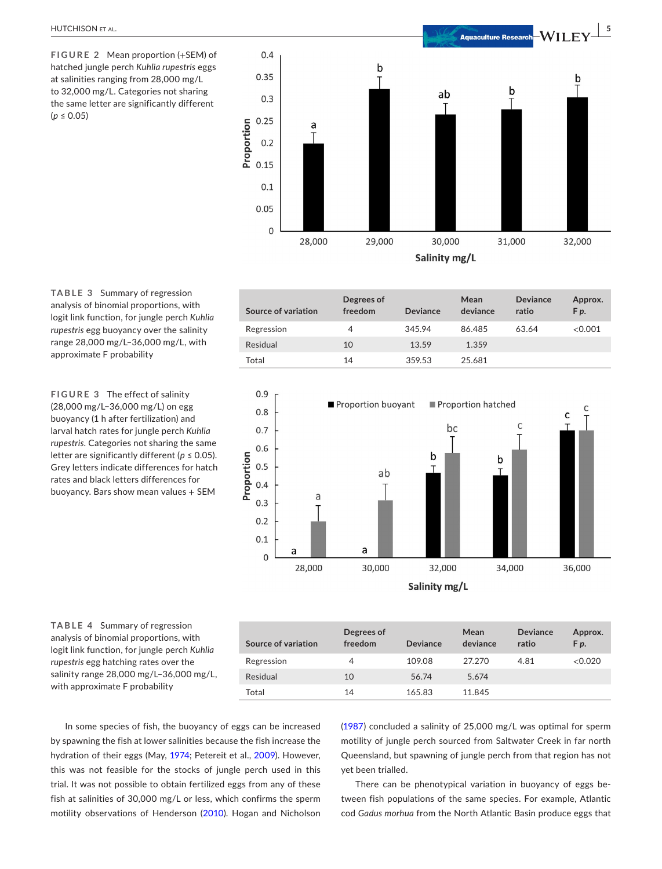<span id="page-4-0"></span>**FIGURE 2** Mean proportion (+SEM) of hatched jungle perch *Kuhlia rupestris* eggs at salinities ranging from 28,000 mg/L to 32,000 mg/L. Categories not sharing the same letter are significantly different  $(p \le 0.05)$ 



<span id="page-4-1"></span>**TABLE 3** Summary of regression analysis of binomial proportions, with logit link function, for jungle perch *Kuhlia rupestris* egg buoyancy over the salinity range 28,000 mg/L–36,000 mg/L, with approximate F probability

**FIGURE 3** The effect of salinity (28,000 mg/L−36,000 mg/L) on egg buoyancy (1 h after fertilization) and larval hatch rates for jungle perch *Kuhlia rupestris*. Categories not sharing the same letter are significantly different ( $p \le 0.05$ ). Grey letters indicate differences for hatch rates and black letters differences for buoyancy. Bars show mean values + SEM

| Source of variation | Degrees of<br>freedom | Deviance | Mean<br>deviance | <b>Deviance</b><br>ratio | Approx.<br>F <sub>p</sub> . |
|---------------------|-----------------------|----------|------------------|--------------------------|-----------------------------|
| Regression          | 4                     | 345.94   | 86.485           | 63.64                    | <0.001                      |
| Residual            | 10                    | 13.59    | 1.359            |                          |                             |
| Total               | 14                    | 359.53   | 25.681           |                          |                             |

<span id="page-4-2"></span>

<span id="page-4-3"></span>**TABLE 4** Summary of regression analysis of binomial proportions, with logit link function, for jungle perch *Kuhlia rupestris* egg hatching rates over the salinity range 28,000 mg/L–36,000 mg/L, with approximate F probability

| Source of variation | Degrees of<br>freedom | <b>Deviance</b> | Mean<br>deviance | <b>Deviance</b><br>ratio | Approx.<br>F <sub>p</sub> . |
|---------------------|-----------------------|-----------------|------------------|--------------------------|-----------------------------|
| Regression          | 4                     | 109.08          | 27.270           | 4.81                     | <0.020                      |
| Residual            | 10                    | 56.74           | 5.674            |                          |                             |
| Total               | 14                    | 165.83          | 11.845           |                          |                             |

In some species of fish, the buoyancy of eggs can be increased by spawning the fish at lower salinities because the fish increase the hydration of their eggs (May, [1974;](#page-6-15) Petereit et al., [2009\)](#page-6-16). However, this was not feasible for the stocks of jungle perch used in this trial. It was not possible to obtain fertilized eggs from any of these fish at salinities of 30,000 mg/L or less, which confirms the sperm motility observations of Henderson ([2010](#page-6-5)). Hogan and Nicholson

([1987](#page-6-6)) concluded a salinity of 25,000 mg/L was optimal for sperm motility of jungle perch sourced from Saltwater Creek in far north Queensland, but spawning of jungle perch from that region has not yet been trialled.

There can be phenotypical variation in buoyancy of eggs between fish populations of the same species. For example, Atlantic cod *Gadus morhua* from the North Atlantic Basin produce eggs that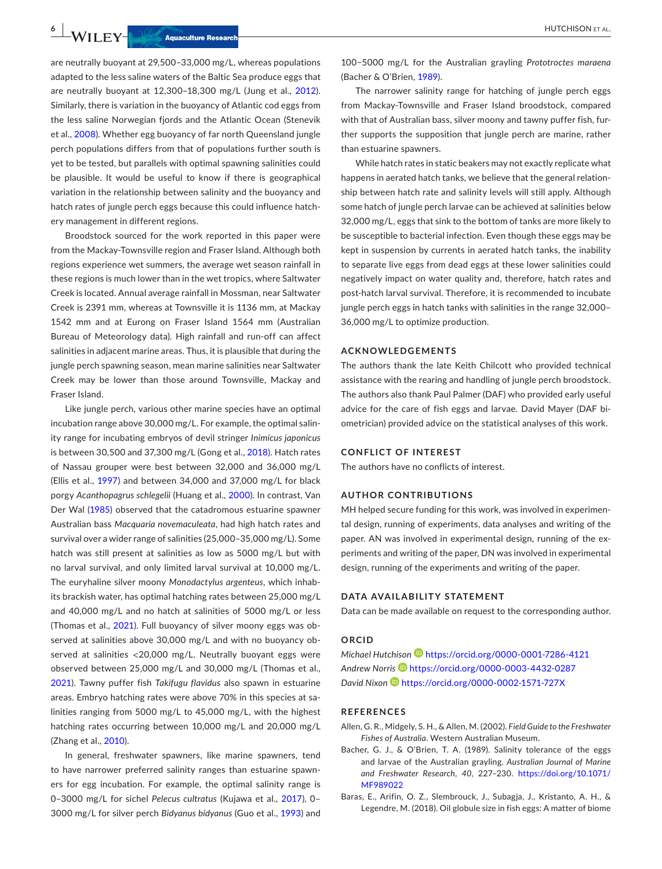are neutrally buoyant at 29,500–33,000 mg/L, whereas populations adapted to the less saline waters of the Baltic Sea produce eggs that are neutrally buoyant at 12,300–18,300 mg/L (Jung et al., [2012](#page-6-17)). Similarly, there is variation in the buoyancy of Atlantic cod eggs from the less saline Norwegian fjords and the Atlantic Ocean (Stenevik et al., [2008](#page-6-13)). Whether egg buoyancy of far north Queensland jungle perch populations differs from that of populations further south is yet to be tested, but parallels with optimal spawning salinities could be plausible. It would be useful to know if there is geographical variation in the relationship between salinity and the buoyancy and hatch rates of jungle perch eggs because this could influence hatchery management in different regions.

Broodstock sourced for the work reported in this paper were from the Mackay-Townsville region and Fraser Island. Although both regions experience wet summers, the average wet season rainfall in these regions is much lower than in the wet tropics, where Saltwater Creek is located. Annual average rainfall in Mossman, near Saltwater Creek is 2391 mm, whereas at Townsville it is 1136 mm, at Mackay 1542 mm and at Eurong on Fraser Island 1564 mm (Australian Bureau of Meteorology data). High rainfall and run-off can affect salinities in adjacent marine areas. Thus, it is plausible that during the jungle perch spawning season, mean marine salinities near Saltwater Creek may be lower than those around Townsville, Mackay and Fraser Island.

Like jungle perch, various other marine species have an optimal incubation range above 30,000 mg/L. For example, the optimal salinity range for incubating embryos of devil stringer *Inimicus japonicus* is between 30,500 and 37,300 mg/L (Gong et al., [2018\)](#page-6-18). Hatch rates of Nassau grouper were best between 32,000 and 36,000 mg/L (Ellis et al., [1997](#page-6-19)) and between 34,000 and 37,000 mg/L for black porgy *Acanthopagrus schlegelii* (Huang et al., [2000](#page-6-20)). In contrast, Van Der Wal ([1985](#page-6-21)) observed that the catadromous estuarine spawner Australian bass *Macquaria novemaculeata*, had high hatch rates and survival over a wider range of salinities (25,000–35,000 mg/L). Some hatch was still present at salinities as low as 5000 mg/L but with no larval survival, and only limited larval survival at 10,000 mg/L. The euryhaline silver moony *Monodactylus argenteus*, which inhabits brackish water, has optimal hatching rates between 25,000 mg/L and 40,000 mg/L and no hatch at salinities of 5000 mg/L or less (Thomas et al., [2021\)](#page-6-22). Full buoyancy of silver moony eggs was observed at salinities above 30,000 mg/L and with no buoyancy observed at salinities <20,000 mg/L. Neutrally buoyant eggs were observed between 25,000 mg/L and 30,000 mg/L (Thomas et al., [2021](#page-6-22)). Tawny puffer fish *Takifugu flavidus* also spawn in estuarine areas. Embryo hatching rates were above 70% in this species at salinities ranging from 5000 mg/L to 45,000 mg/L, with the highest hatching rates occurring between 10,000 mg/L and 20,000 mg/L (Zhang et al., [2010](#page-6-23)).

In general, freshwater spawners, like marine spawners, tend to have narrower preferred salinity ranges than estuarine spawners for egg incubation. For example, the optimal salinity range is 0–3000 mg/L for sichel *Pelecus cultratus* (Kujawa et al., [2017\)](#page-6-24), 0– 3000 mg/L for silver perch *Bidyanus bidyanus* (Guo et al., [1993\)](#page-6-25) and

100−5000 mg/L for the Australian grayling *Prototroctes maraena* (Bacher & O'Brien, [1989\)](#page-5-2).

The narrower salinity range for hatching of jungle perch eggs from Mackay-Townsville and Fraser Island broodstock, compared with that of Australian bass, silver moony and tawny puffer fish, further supports the supposition that jungle perch are marine, rather than estuarine spawners.

While hatch rates in static beakers may not exactly replicate what happens in aerated hatch tanks, we believe that the general relationship between hatch rate and salinity levels will still apply. Although some hatch of jungle perch larvae can be achieved at salinities below 32,000 mg/L, eggs that sink to the bottom of tanks are more likely to be susceptible to bacterial infection. Even though these eggs may be kept in suspension by currents in aerated hatch tanks, the inability to separate live eggs from dead eggs at these lower salinities could negatively impact on water quality and, therefore, hatch rates and post-hatch larval survival. Therefore, it is recommended to incubate jungle perch eggs in hatch tanks with salinities in the range 32,000– 36,000 mg/L to optimize production.

### **ACKNOWLEDGEMENTS**

The authors thank the late Keith Chilcott who provided technical assistance with the rearing and handling of jungle perch broodstock. The authors also thank Paul Palmer (DAF) who provided early useful advice for the care of fish eggs and larvae. David Mayer (DAF biometrician) provided advice on the statistical analyses of this work.

#### **CONFLICT OF INTEREST**

The authors have no conflicts of interest.

### **AUTHOR CONTRIBUTIONS**

MH helped secure funding for this work, was involved in experimental design, running of experiments, data analyses and writing of the paper. AN was involved in experimental design, running of the experiments and writing of the paper, DN was involved in experimental design, running of the experiments and writing of the paper.

#### **DATA AVAILABILITY STATEMENT**

Data can be made available on request to the corresponding author.

## **ORCID**

*Michael Hutchiso[n](https://orcid.org/0000-0001-7286-4121)* <https://orcid.org/0000-0001-7286-4121> *Andrew Norris* <https://orcid.org/0000-0003-4432-0287> *David Nixon* <https://orcid.org/0000-0002-1571-727X>

### **REFERENCES**

- <span id="page-5-0"></span>Allen, G. R., Midgely, S. H., & Allen, M. (2002). *Field Guide to the Freshwater Fishes of Australia*. Western Australian Museum.
- <span id="page-5-2"></span>Bacher, G. J., & O'Brien, T. A. (1989). Salinity tolerance of the eggs and larvae of the Australian grayling. *Australian Journal of Marine and Freshwater Research*, *40*, 227–230. [https://doi.org/10.1071/](https://doi.org/10.1071/MF989022) [MF989022](https://doi.org/10.1071/MF989022)
- <span id="page-5-1"></span>Baras, E., Arifin, O. Z., Slembrouck, J., Subagja, J., Kristanto, A. H., & Legendre, M. (2018). Oil globule size in fish eggs: A matter of biome